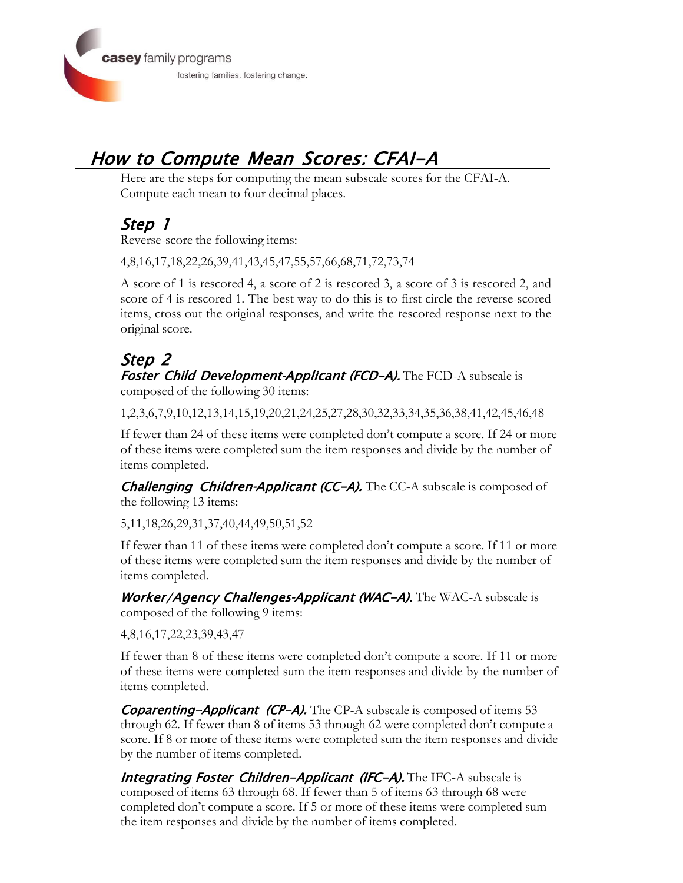

# How to Compute Mean Scores: CFAI-A

Here are the steps for computing the mean subscale scores for the CFAI-A. Compute each mean to four decimal places.

#### Step 1

Reverse-score the following items:

4,8,16,17,18,22,26,39,41,43,45,47,55,57,66,68,71,72,73,74

A score of 1 is rescored 4, a score of 2 is rescored 3, a score of 3 is rescored 2, and score of 4 is rescored 1. The best way to do this is to first circle the reverse-scored items, cross out the original responses, and write the rescored response next to the original score.

#### Step 2 Foster Child Development-Applicant (FCD-A). The FCD-A subscale is composed of the following 30 items:

1,2,3,6,7,9,10,12,13,14,15,19,20,21,24,25,27,28,30,32,33,34,35,36,38,41,42,45,46,48

If fewer than 24 of these items were completed don't compute a score. If 24 or more of these items were completed sum the item responses and divide by the number of items completed.

**Challenging Children-Applicant (CC-A).** The CC-A subscale is composed of the following 13 items:

5,11,18,26,29,31,37,40,44,49,50,51,52

If fewer than 11 of these items were completed don't compute a score. If 11 or more of these items were completed sum the item responses and divide by the number of items completed.

Worker/Agency Challenges-Applicant (WAC-A). The WAC-A subscale is composed of the following 9 items:

4,8,16,17,22,23,39,43,47

If fewer than 8 of these items were completed don't compute a score. If 11 or more of these items were completed sum the item responses and divide by the number of items completed.

**Coparenting-Applicant (CP-A).** The CP-A subscale is composed of items 53 through 62. If fewer than 8 of items 53 through 62 were completed don't compute a score. If 8 or more of these items were completed sum the item responses and divide by the number of items completed.

**Integrating Foster Children-Applicant (IFC-A).** The IFC-A subscale is composed of items 63 through 68. If fewer than 5 of items 63 through 68 were completed don't compute a score. If 5 or more of these items were completed sum the item responses and divide by the number of items completed.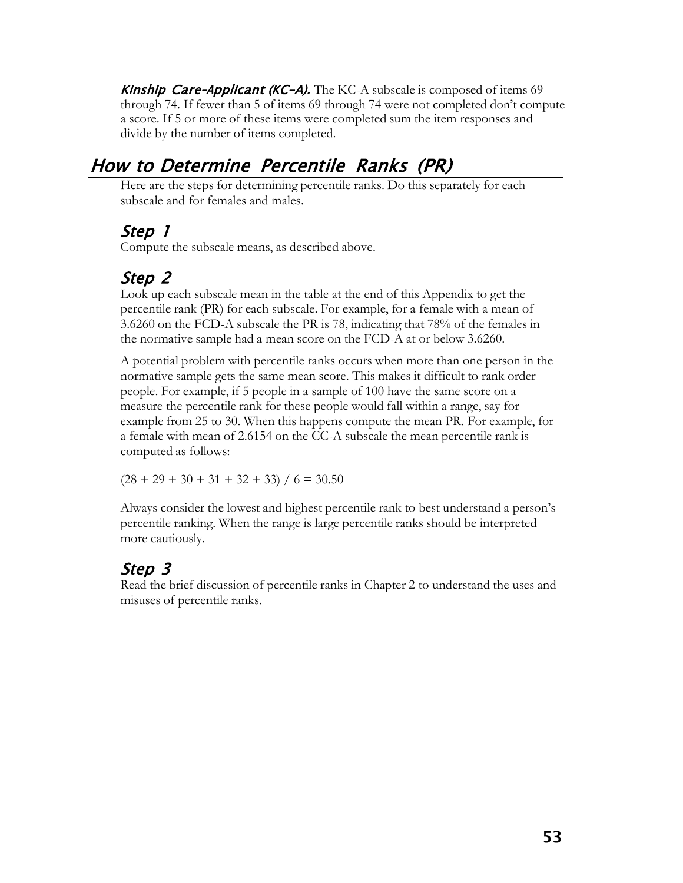**Kinship Care-Applicant (KC-A).** The KC-A subscale is composed of items 69 through 74. If fewer than 5 of items 69 through 74 were not completed don't compute a score. If 5 or more of these items were completed sum the item responses and divide by the number of items completed.

## How to Determine Percentile Ranks (PR)

Here are the steps for determining percentile ranks. Do this separately for each subscale and for females and males.

### Step 1

Compute the subscale means, as described above.

## Step 2

Look up each subscale mean in the table at the end of this Appendix to get the percentile rank (PR) for each subscale. For example, for a female with a mean of 3.6260 on the FCD-A subscale the PR is 78, indicating that 78% of the females in the normative sample had a mean score on the FCD-A at or below 3.6260.

A potential problem with percentile ranks occurs when more than one person in the normative sample gets the same mean score. This makes it difficult to rank order people. For example, if 5 people in a sample of 100 have the same score on a measure the percentile rank for these people would fall within a range, say for example from 25 to 30. When this happens compute the mean PR. For example, for a female with mean of 2.6154 on the CC-A subscale the mean percentile rank is computed as follows:

 $(28 + 29 + 30 + 31 + 32 + 33) / 6 = 30.50$ 

Always consider the lowest and highest percentile rank to best understand a person's percentile ranking. When the range is large percentile ranks should be interpreted more cautiously.

## Step 3

Read the brief discussion of percentile ranks in Chapter 2 to understand the uses and misuses of percentile ranks.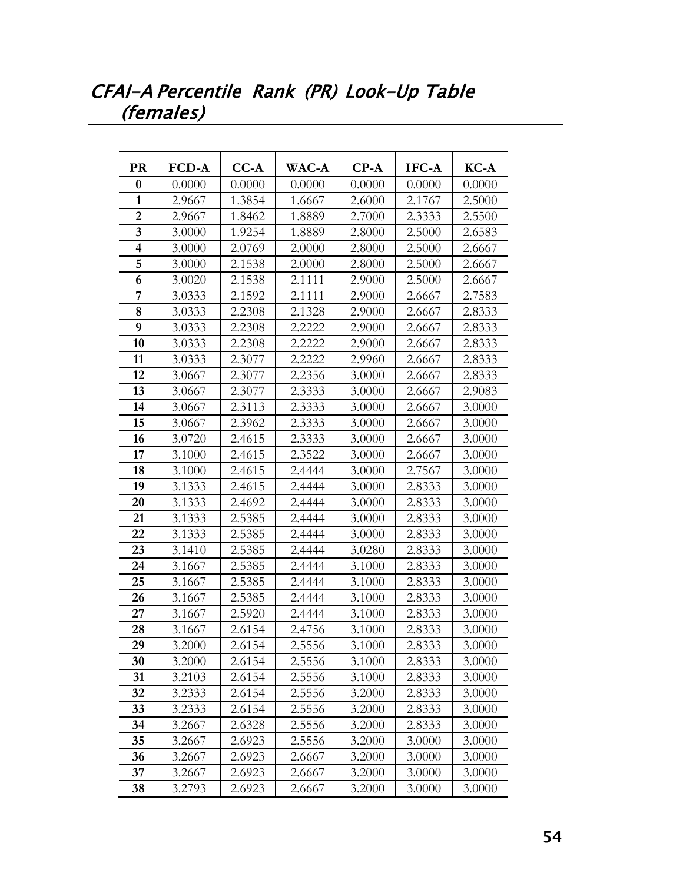## CFAI-A Percentile Rank (PR) Look-Up Table (females)

| <b>PR</b>               | <b>FCD-A</b> | $CC-A$ | WAC-A  | $CP-A$ | IFC-A  | KC-A   |
|-------------------------|--------------|--------|--------|--------|--------|--------|
| 0                       | 0.0000       | 0.0000 | 0.0000 | 0.0000 | 0.0000 | 0.0000 |
| $\mathbf{1}$            | 2.9667       | 1.3854 | 1.6667 | 2.6000 | 2.1767 | 2.5000 |
| $\overline{2}$          | 2.9667       | 1.8462 | 1.8889 | 2.7000 | 2.3333 | 2.5500 |
| 3                       | 3.0000       | 1.9254 | 1.8889 | 2.8000 | 2.5000 | 2.6583 |
| $\overline{\mathbf{4}}$ | 3.0000       | 2.0769 | 2.0000 | 2.8000 | 2.5000 | 2.6667 |
| 5                       | 3.0000       | 2.1538 | 2.0000 | 2.8000 | 2.5000 | 2.6667 |
| 6                       | 3.0020       | 2.1538 | 2.1111 | 2.9000 | 2.5000 | 2.6667 |
| 7                       | 3.0333       | 2.1592 | 2.1111 | 2.9000 | 2.6667 | 2.7583 |
| 8                       | 3.0333       | 2.2308 | 2.1328 | 2.9000 | 2.6667 | 2.8333 |
| 9                       | 3.0333       | 2.2308 | 2.2222 | 2.9000 | 2.6667 | 2.8333 |
| 10                      | 3.0333       | 2.2308 | 2.2222 | 2.9000 | 2.6667 | 2.8333 |
| 11                      | 3.0333       | 2.3077 | 2.2222 | 2.9960 | 2.6667 | 2.8333 |
| 12                      | 3.0667       | 2.3077 | 2.2356 | 3.0000 | 2.6667 | 2.8333 |
| 13                      | 3.0667       | 2.3077 | 2.3333 | 3.0000 | 2.6667 | 2.9083 |
| 14                      | 3.0667       | 2.3113 | 2.3333 | 3.0000 | 2.6667 | 3.0000 |
| 15                      | 3.0667       | 2.3962 | 2.3333 | 3.0000 | 2.6667 | 3.0000 |
| 16                      | 3.0720       | 2.4615 | 2.3333 | 3.0000 | 2.6667 | 3.0000 |
| 17                      | 3.1000       | 2.4615 | 2.3522 | 3.0000 | 2.6667 | 3.0000 |
| 18                      | 3.1000       | 2.4615 | 2.4444 | 3.0000 | 2.7567 | 3.0000 |
| 19                      | 3.1333       | 2.4615 | 2.4444 | 3.0000 | 2.8333 | 3.0000 |
| 20                      | 3.1333       | 2.4692 | 2.4444 | 3.0000 | 2.8333 | 3.0000 |
| 21                      | 3.1333       | 2.5385 | 2.4444 | 3.0000 | 2.8333 | 3.0000 |
| 22                      | 3.1333       | 2.5385 | 2.4444 | 3.0000 | 2.8333 | 3.0000 |
| 23                      | 3.1410       | 2.5385 | 2.4444 | 3.0280 | 2.8333 | 3.0000 |
| 24                      | 3.1667       | 2.5385 | 2.4444 | 3.1000 | 2.8333 | 3.0000 |
| 25                      | 3.1667       | 2.5385 | 2.4444 | 3.1000 | 2.8333 | 3.0000 |
| 26                      | 3.1667       | 2.5385 | 2.4444 | 3.1000 | 2.8333 | 3.0000 |
| 27                      | 3.1667       | 2.5920 | 2.4444 | 3.1000 | 2.8333 | 3.0000 |
| 28                      | 3.1667       | 2.6154 | 2.4756 | 3.1000 | 2.8333 | 3.0000 |
| 29                      | 3.2000       | 2.6154 | 2.5556 | 3.1000 | 2.8333 | 3.0000 |
| 30                      | 3.2000       | 2.6154 | 2.5556 | 3.1000 | 2.8333 | 3.0000 |
| 31                      | 3.2103       | 2.6154 | 2.5556 | 3.1000 | 2.8333 | 3.0000 |
| 32                      | 3.2333       | 2.6154 | 2.5556 | 3.2000 | 2.8333 | 3.0000 |
| 33                      | 3.2333       | 2.6154 | 2.5556 | 3.2000 | 2.8333 | 3.0000 |
| 34                      | 3.2667       | 2.6328 | 2.5556 | 3.2000 | 2.8333 | 3.0000 |
| 35                      | 3.2667       | 2.6923 | 2.5556 | 3.2000 | 3.0000 | 3.0000 |
| 36                      | 3.2667       | 2.6923 | 2.6667 | 3.2000 | 3.0000 | 3.0000 |
| 37                      | 3.2667       | 2.6923 | 2.6667 | 3.2000 | 3.0000 | 3.0000 |
| 38                      | 3.2793       | 2.6923 | 2.6667 | 3.2000 | 3.0000 | 3.0000 |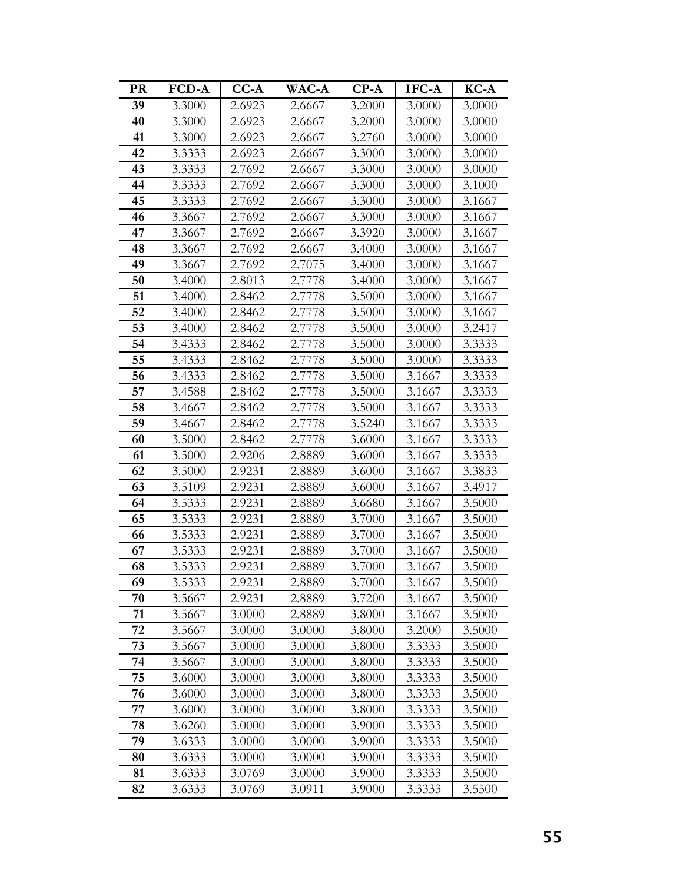| <b>PR</b> | <b>FCD-A</b> | $CC-A$ | <b>WAC-A</b> | $CP-A$ | IFC-A  | KC-A   |
|-----------|--------------|--------|--------------|--------|--------|--------|
| 39        | 3.3000       | 2.6923 | 2.6667       | 3.2000 | 3.0000 | 3.0000 |
| 40        | 3.3000       | 2.6923 | 2.6667       | 3.2000 | 3.0000 | 3.0000 |
| 41        | 3.3000       | 2.6923 | 2.6667       | 3.2760 | 3.0000 | 3.0000 |
| 42        | 3.3333       | 2.6923 | 2.6667       | 3.3000 | 3.0000 | 3.0000 |
| 43        | 3.3333       | 2.7692 | 2.6667       | 3.3000 | 3.0000 | 3.0000 |
| 44        | 3.3333       | 2.7692 | 2.6667       | 3.3000 | 3.0000 | 3.1000 |
| 45        | 3.3333       | 2.7692 | 2.6667       | 3.3000 | 3.0000 | 3.1667 |
| 46        | 3.3667       | 2.7692 | 2.6667       | 3.3000 | 3.0000 | 3.1667 |
| 47        | 3.3667       | 2.7692 | 2.6667       | 3.3920 | 3.0000 | 3.1667 |
| 48        | 3.3667       | 2.7692 | 2.6667       | 3.4000 | 3.0000 | 3.1667 |
| 49        | 3.3667       | 2.7692 | 2.7075       | 3.4000 | 3.0000 | 3.1667 |
| 50        | 3.4000       | 2.8013 | 2.7778       | 3.4000 | 3.0000 | 3.1667 |
| 51        | 3.4000       | 2.8462 | 2.7778       | 3.5000 | 3.0000 | 3.1667 |
| 52        | 3.4000       | 2.8462 | 2.7778       | 3.5000 | 3.0000 | 3.1667 |
| 53        | 3.4000       | 2.8462 | 2.7778       | 3.5000 | 3.0000 | 3.2417 |
| 54        | 3.4333       | 2.8462 | 2.7778       | 3.5000 | 3.0000 | 3.3333 |
| 55        | 3.4333       | 2.8462 | 2.7778       | 3.5000 | 3.0000 | 3.3333 |
| 56        | 3.4333       | 2.8462 | 2.7778       | 3.5000 | 3.1667 | 3.3333 |
| 57        | 3.4588       | 2.8462 | 2.7778       | 3.5000 | 3.1667 | 3.3333 |
| 58        | 3.4667       | 2.8462 | 2.7778       | 3.5000 | 3.1667 | 3.3333 |
| 59        | 3.4667       | 2.8462 | 2.7778       | 3.5240 | 3.1667 | 3.3333 |
| 60        | 3.5000       | 2.8462 | 2.7778       | 3.6000 | 3.1667 | 3.3333 |
| 61        | 3.5000       | 2.9206 | 2.8889       | 3.6000 | 3.1667 | 3.3333 |
| 62        | 3.5000       | 2.9231 | 2.8889       | 3.6000 | 3.1667 | 3.3833 |
| 63        | 3.5109       | 2.9231 | 2.8889       | 3.6000 | 3.1667 | 3.4917 |
| 64        | 3.5333       | 2.9231 | 2.8889       | 3.6680 | 3.1667 | 3.5000 |
| 65        | 3.5333       | 2.9231 | 2.8889       | 3.7000 | 3.1667 | 3.5000 |
| 66        | 3.5333       | 2.9231 | 2.8889       | 3.7000 | 3.1667 | 3.5000 |
| 67        | 3.5333       | 2.9231 | 2.8889       | 3.7000 | 3.1667 | 3.5000 |
| 68        | 3.5333       | 2.9231 | 2.8889       | 3.7000 | 3.1667 | 3.5000 |
| 69        | 3.5333       | 2.9231 | 2.8889       | 3.7000 | 3.1667 | 3.5000 |
| 70        | 3.5667       | 2.9231 | 2.8889       | 3.7200 | 3.1667 | 3.5000 |
| 71        | 3.5667       | 3.0000 | 2.8889       | 3.8000 | 3.1667 | 3.5000 |
| 72        | 3.5667       | 3.0000 | 3.0000       | 3.8000 | 3.2000 | 3.5000 |
| 73        | 3.5667       | 3.0000 | 3.0000       | 3.8000 | 3.3333 | 3.5000 |
| 74        | 3.5667       | 3.0000 | 3.0000       | 3.8000 | 3.3333 | 3.5000 |
| 75        | 3.6000       | 3.0000 | 3.0000       | 3.8000 | 3.3333 | 3.5000 |
| 76        | 3.6000       | 3.0000 | 3.0000       | 3.8000 | 3.3333 | 3.5000 |
| 77        | 3.6000       | 3.0000 | 3.0000       | 3.8000 | 3.3333 | 3.5000 |
| 78        | 3.6260       | 3.0000 | 3.0000       | 3.9000 | 3.3333 | 3.5000 |
| 79        | 3.6333       | 3.0000 | 3.0000       | 3.9000 | 3.3333 | 3.5000 |
| 80        | 3.6333       | 3.0000 | 3.0000       | 3.9000 | 3.3333 | 3.5000 |
| 81        | 3.6333       | 3.0769 | 3.0000       | 3.9000 | 3.3333 | 3.5000 |
| 82        | 3.6333       | 3.0769 | 3.0911       | 3.9000 | 3.3333 | 3.5500 |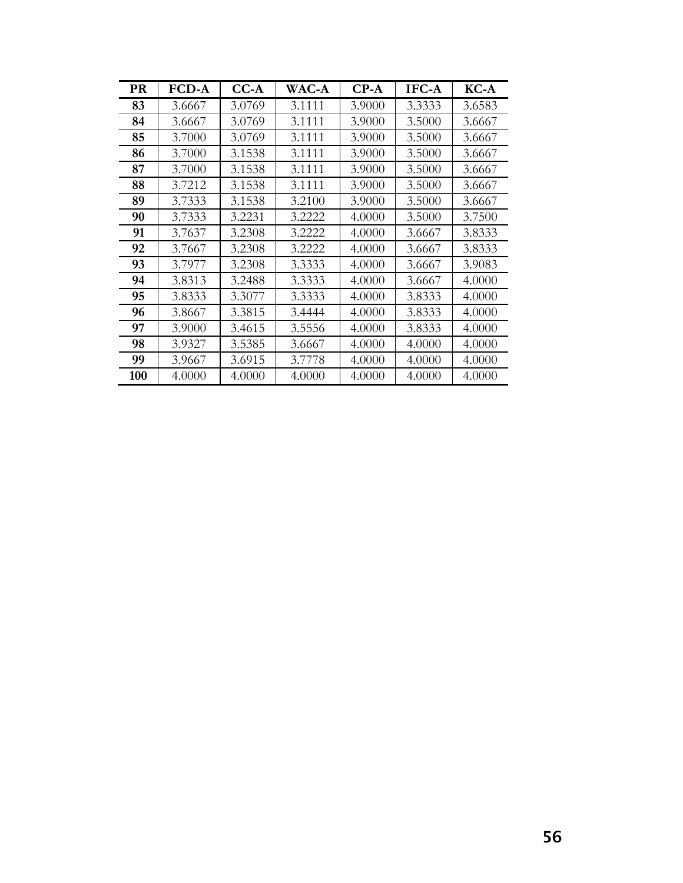| <b>PR</b> | <b>FCD-A</b> | $CC-A$ | <b>WAC-A</b> | $CP-A$ | IFC-A  | $KC-A$ |
|-----------|--------------|--------|--------------|--------|--------|--------|
| 83        | 3.6667       | 3.0769 | 3.1111       | 3.9000 | 3.3333 | 3.6583 |
| 84        | 3.6667       | 3.0769 | 3.1111       | 3.9000 | 3.5000 | 3.6667 |
| 85        | 3.7000       | 3.0769 | 3.1111       | 3.9000 | 3.5000 | 3.6667 |
| 86        | 3.7000       | 3.1538 | 3.1111       | 3.9000 | 3.5000 | 3.6667 |
| 87        | 3.7000       | 3.1538 | 3.1111       | 3.9000 | 3.5000 | 3.6667 |
| 88        | 3.7212       | 3.1538 | 3.1111       | 3.9000 | 3.5000 | 3.6667 |
| 89        | 3.7333       | 3.1538 | 3.2100       | 3.9000 | 3.5000 | 3.6667 |
| 90        | 3.7333       | 3.2231 | 3.2222       | 4.0000 | 3.5000 | 3.7500 |
| 91        | 3.7637       | 3.2308 | 3.2222       | 4.0000 | 3.6667 | 3.8333 |
| 92        | 3.7667       | 3.2308 | 3.2222       | 4.0000 | 3.6667 | 3.8333 |
| 93        | 3.7977       | 3.2308 | 3.3333       | 4.0000 | 3.6667 | 3.9083 |
| 94        | 3.8313       | 3.2488 | 3.3333       | 4.0000 | 3.6667 | 4.0000 |
| 95        | 3.8333       | 3.3077 | 3.3333       | 4.0000 | 3.8333 | 4.0000 |
| 96        | 3.8667       | 3.3815 | 3.4444       | 4.0000 | 3.8333 | 4.0000 |
| 97        | 3.9000       | 3.4615 | 3.5556       | 4.0000 | 3.8333 | 4.0000 |
| 98        | 3.9327       | 3.5385 | 3.6667       | 4.0000 | 4.0000 | 4.0000 |
| 99        | 3.9667       | 3.6915 | 3.7778       | 4.0000 | 4.0000 | 4.0000 |
| 100       | 4.0000       | 4.0000 | 4.0000       | 4.0000 | 4.0000 | 4.0000 |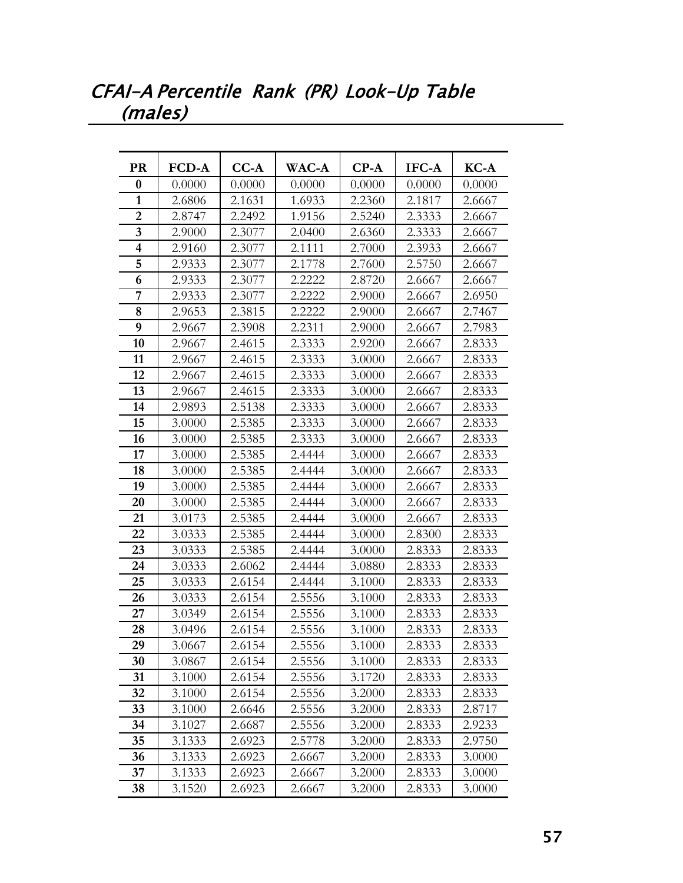## CFAI-A Percentile Rank (PR) Look-Up Table (males)

| <b>PR</b>               | <b>FCD-A</b> | $CC-A$ | WAC-A  | $CP-A$ | IFC-A  | KC-A   |
|-------------------------|--------------|--------|--------|--------|--------|--------|
| 0                       | 0.0000       | 0.0000 | 0.0000 | 0.0000 | 0.0000 | 0.0000 |
| 1                       | 2.6806       | 2.1631 | 1.6933 | 2.2360 | 2.1817 | 2.6667 |
| $\overline{2}$          | 2.8747       | 2.2492 | 1.9156 | 2.5240 | 2.3333 | 2.6667 |
| $\overline{\mathbf{3}}$ | 2.9000       | 2.3077 | 2.0400 | 2.6360 | 2.3333 | 2.6667 |
| $\overline{\mathbf{4}}$ | 2.9160       | 2.3077 | 2.1111 | 2.7000 | 2.3933 | 2.6667 |
| 5                       | 2.9333       | 2.3077 | 2.1778 | 2.7600 | 2.5750 | 2.6667 |
| 6                       | 2.9333       | 2.3077 | 2.2222 | 2.8720 | 2.6667 | 2.6667 |
| 7                       | 2.9333       | 2.3077 | 2.2222 | 2.9000 | 2.6667 | 2.6950 |
| 8                       | 2.9653       | 2.3815 | 2.2222 | 2.9000 | 2.6667 | 2.7467 |
| 9                       | 2.9667       | 2.3908 | 2.2311 | 2.9000 | 2.6667 | 2.7983 |
| 10                      | 2.9667       | 2.4615 | 2.3333 | 2.9200 | 2.6667 | 2.8333 |
| 11                      | 2.9667       | 2.4615 | 2.3333 | 3.0000 | 2.6667 | 2.8333 |
| 12                      | 2.9667       | 2.4615 | 2.3333 | 3.0000 | 2.6667 | 2.8333 |
| 13                      | 2.9667       | 2.4615 | 2.3333 | 3.0000 | 2.6667 | 2.8333 |
| 14                      | 2.9893       | 2.5138 | 2.3333 | 3.0000 | 2.6667 | 2.8333 |
| 15                      | 3.0000       | 2.5385 | 2.3333 | 3.0000 | 2.6667 | 2.8333 |
| 16                      | 3.0000       | 2.5385 | 2.3333 | 3.0000 | 2.6667 | 2.8333 |
| 17                      | 3.0000       | 2.5385 | 2.4444 | 3.0000 | 2.6667 | 2.8333 |
| 18                      | 3.0000       | 2.5385 | 2.4444 | 3.0000 | 2.6667 | 2.8333 |
| 19                      | 3.0000       | 2.5385 | 2.4444 | 3.0000 | 2.6667 | 2.8333 |
| 20                      | 3.0000       | 2.5385 | 2.4444 | 3.0000 | 2.6667 | 2.8333 |
| 21                      | 3.0173       | 2.5385 | 2.4444 | 3.0000 | 2.6667 | 2.8333 |
| 22                      | 3.0333       | 2.5385 | 2.4444 | 3.0000 | 2.8300 | 2.8333 |
| 23                      | 3.0333       | 2.5385 | 2.4444 | 3.0000 | 2.8333 | 2.8333 |
| 24                      | 3.0333       | 2.6062 | 2.4444 | 3.0880 | 2.8333 | 2.8333 |
| 25                      | 3.0333       | 2.6154 | 2.4444 | 3.1000 | 2.8333 | 2.8333 |
| 26                      | 3.0333       | 2.6154 | 2.5556 | 3.1000 | 2.8333 | 2.8333 |
| 27                      | 3.0349       | 2.6154 | 2.5556 | 3.1000 | 2.8333 | 2.8333 |
| 28                      | 3.0496       | 2.6154 | 2.5556 | 3.1000 | 2.8333 | 2.8333 |
| 29                      | 3.0667       | 2.6154 | 2.5556 | 3.1000 | 2.8333 | 2.8333 |
| 30                      | 3.0867       | 2.6154 | 2.5556 | 3.1000 | 2.8333 | 2.8333 |
| 31                      | 3.1000       | 2.6154 | 2.5556 | 3.1720 | 2.8333 | 2.8333 |
| 32                      | 3.1000       | 2.6154 | 2.5556 | 3.2000 | 2.8333 | 2.8333 |
| 33                      | 3.1000       | 2.6646 | 2.5556 | 3.2000 | 2.8333 | 2.8717 |
| 34                      | 3.1027       | 2.6687 | 2.5556 | 3.2000 | 2.8333 | 2.9233 |
| 35                      | 3.1333       | 2.6923 | 2.5778 | 3.2000 | 2.8333 | 2.9750 |
| 36                      | 3.1333       | 2.6923 | 2.6667 | 3.2000 | 2.8333 | 3.0000 |
| 37                      | 3.1333       | 2.6923 | 2.6667 | 3.2000 | 2.8333 | 3.0000 |
| 38                      | 3.1520       | 2.6923 | 2.6667 | 3.2000 | 2.8333 | 3.0000 |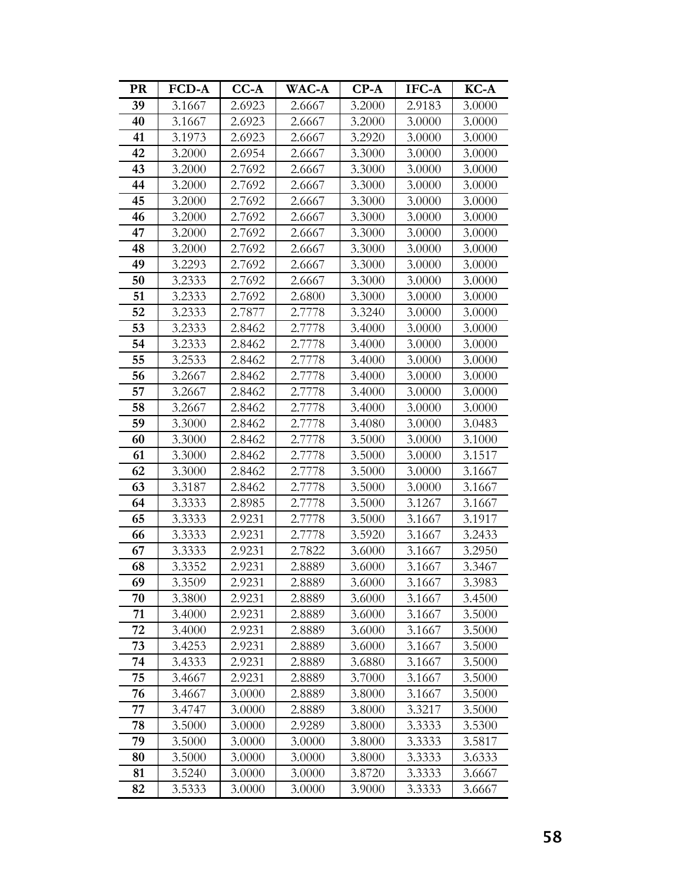| <b>PR</b> | <b>FCD-A</b> | $CC-A$ | <b>WAC-A</b> | $CP-A$ | IFC-A  | KC-A   |
|-----------|--------------|--------|--------------|--------|--------|--------|
| 39        | 3.1667       | 2.6923 | 2.6667       | 3.2000 | 2.9183 | 3.0000 |
| 40        | 3.1667       | 2.6923 | 2.6667       | 3.2000 | 3.0000 | 3.0000 |
| 41        | 3.1973       | 2.6923 | 2.6667       | 3.2920 | 3.0000 | 3.0000 |
| 42        | 3.2000       | 2.6954 | 2.6667       | 3.3000 | 3.0000 | 3.0000 |
| 43        | 3.2000       | 2.7692 | 2.6667       | 3.3000 | 3.0000 | 3.0000 |
| 44        | 3.2000       | 2.7692 | 2.6667       | 3.3000 | 3.0000 | 3.0000 |
| 45        | 3.2000       | 2.7692 | 2.6667       | 3.3000 | 3.0000 | 3.0000 |
| 46        | 3.2000       | 2.7692 | 2.6667       | 3.3000 | 3.0000 | 3.0000 |
| 47        | 3.2000       | 2.7692 | 2.6667       | 3.3000 | 3.0000 | 3.0000 |
| 48        | 3.2000       | 2.7692 | 2.6667       | 3.3000 | 3.0000 | 3.0000 |
| 49        | 3.2293       | 2.7692 | 2.6667       | 3.3000 | 3.0000 | 3.0000 |
| 50        | 3.2333       | 2.7692 | 2.6667       | 3.3000 | 3.0000 | 3.0000 |
| 51        | 3.2333       | 2.7692 | 2.6800       | 3.3000 | 3.0000 | 3.0000 |
| 52        | 3.2333       | 2.7877 | 2.7778       | 3.3240 | 3.0000 | 3.0000 |
| 53        | 3.2333       | 2.8462 | 2.7778       | 3.4000 | 3.0000 | 3.0000 |
| 54        | 3.2333       | 2.8462 | 2.7778       | 3.4000 | 3.0000 | 3.0000 |
| 55        | 3.2533       | 2.8462 | 2.7778       | 3.4000 | 3.0000 | 3.0000 |
| 56        | 3.2667       | 2.8462 | 2.7778       | 3.4000 | 3.0000 | 3.0000 |
| 57        | 3.2667       | 2.8462 | 2.7778       | 3.4000 | 3.0000 | 3.0000 |
| 58        | 3.2667       | 2.8462 | 2.7778       | 3.4000 | 3.0000 | 3.0000 |
| 59        | 3.3000       | 2.8462 | 2.7778       | 3.4080 | 3.0000 | 3.0483 |
| 60        | 3.3000       | 2.8462 | 2.7778       | 3.5000 | 3.0000 | 3.1000 |
| 61        | 3.3000       | 2.8462 | 2.7778       | 3.5000 | 3.0000 | 3.1517 |
| 62        | 3.3000       | 2.8462 | 2.7778       | 3.5000 | 3.0000 | 3.1667 |
| 63        | 3.3187       | 2.8462 | 2.7778       | 3.5000 | 3.0000 | 3.1667 |
| 64        | 3.3333       | 2.8985 | 2.7778       | 3.5000 | 3.1267 | 3.1667 |
| 65        | 3.3333       | 2.9231 | 2.7778       | 3.5000 | 3.1667 | 3.1917 |
| 66        | 3.3333       | 2.9231 | 2.7778       | 3.5920 | 3.1667 | 3.2433 |
| 67        | 3.3333       | 2.9231 | 2.7822       | 3.6000 | 3.1667 | 3.2950 |
| 68        | 3.3352       | 2.9231 | 2.8889       | 3.6000 | 3.1667 | 3.3467 |
| 69        | 3.3509       | 2.9231 | 2.8889       | 3.6000 | 3.1667 | 3.3983 |
| 70        | 3.3800       | 2.9231 | 2.8889       | 3.6000 | 3.1667 | 3.4500 |
| 71        | 3.4000       | 2.9231 | 2.8889       | 3.6000 | 3.1667 | 3.5000 |
| 72        | 3.4000       | 2.9231 | 2.8889       | 3.6000 | 3.1667 | 3.5000 |
| 73        | 3.4253       | 2.9231 | 2.8889       | 3.6000 | 3.1667 | 3.5000 |
| 74        | 3.4333       | 2.9231 | 2.8889       | 3.6880 | 3.1667 | 3.5000 |
| 75        | 3.4667       | 2.9231 | 2.8889       | 3.7000 | 3.1667 | 3.5000 |
| 76        | 3.4667       | 3.0000 | 2.8889       | 3.8000 | 3.1667 | 3.5000 |
| 77        | 3.4747       | 3.0000 | 2.8889       | 3.8000 | 3.3217 | 3.5000 |
| 78        | 3.5000       | 3.0000 | 2.9289       | 3.8000 | 3.3333 | 3.5300 |
| 79        | 3.5000       | 3.0000 | 3.0000       | 3.8000 | 3.3333 | 3.5817 |
| 80        | 3.5000       | 3.0000 | 3.0000       | 3.8000 | 3.3333 | 3.6333 |
| 81        | 3.5240       | 3.0000 | 3.0000       | 3.8720 | 3.3333 | 3.6667 |
| 82        | 3.5333       | 3.0000 | 3.0000       | 3.9000 | 3.3333 | 3.6667 |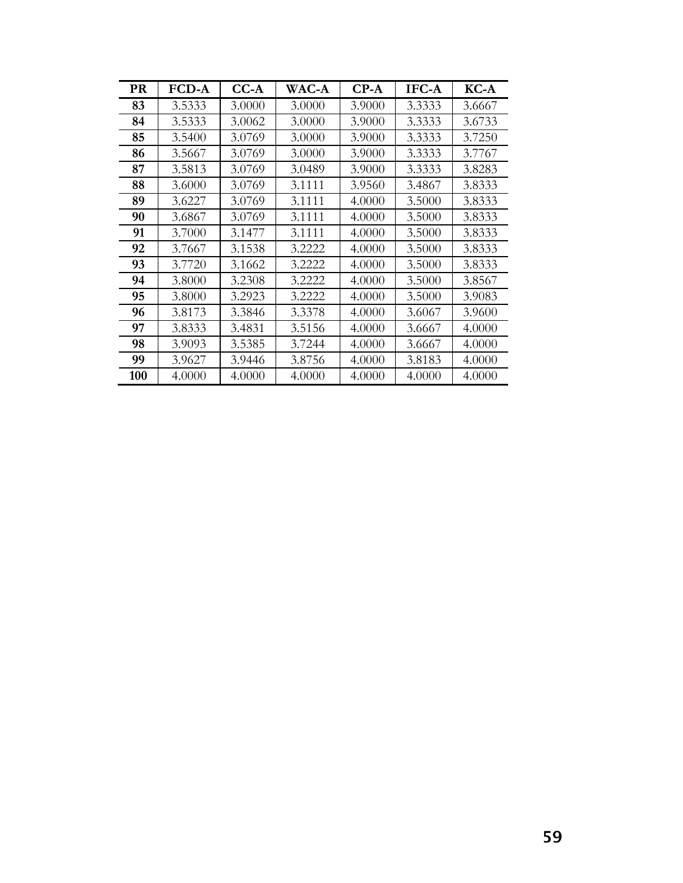| <b>PR</b> | <b>FCD-A</b> | $CC-A$ | <b>WAC-A</b> | $CP-A$ | IFC-A  | $KC-A$ |
|-----------|--------------|--------|--------------|--------|--------|--------|
| 83        | 3.5333       | 3.0000 | 3.0000       | 3.9000 | 3.3333 | 3.6667 |
| 84        | 3.5333       | 3.0062 | 3.0000       | 3.9000 | 3.3333 | 3.6733 |
| 85        | 3.5400       | 3.0769 | 3.0000       | 3.9000 | 3.3333 | 3.7250 |
| 86        | 3.5667       | 3.0769 | 3.0000       | 3.9000 | 3.3333 | 3.7767 |
| 87        | 3.5813       | 3.0769 | 3.0489       | 3.9000 | 3.3333 | 3.8283 |
| 88        | 3.6000       | 3.0769 | 3.1111       | 3.9560 | 3.4867 | 3.8333 |
| 89        | 3.6227       | 3.0769 | 3.1111       | 4.0000 | 3.5000 | 3.8333 |
| 90        | 3.6867       | 3.0769 | 3.1111       | 4.0000 | 3.5000 | 3.8333 |
| 91        | 3.7000       | 3.1477 | 3.1111       | 4.0000 | 3.5000 | 3.8333 |
| 92        | 3.7667       | 3.1538 | 3.2222       | 4.0000 | 3.5000 | 3.8333 |
| 93        | 3.7720       | 3.1662 | 3.2222       | 4.0000 | 3.5000 | 3.8333 |
| 94        | 3.8000       | 3.2308 | 3.2222       | 4.0000 | 3.5000 | 3.8567 |
| 95        | 3.8000       | 3.2923 | 3.2222       | 4.0000 | 3.5000 | 3.9083 |
| 96        | 3.8173       | 3.3846 | 3.3378       | 4.0000 | 3.6067 | 3.9600 |
| 97        | 3.8333       | 3.4831 | 3.5156       | 4.0000 | 3.6667 | 4.0000 |
| 98        | 3.9093       | 3.5385 | 3.7244       | 4.0000 | 3.6667 | 4.0000 |
| 99        | 3.9627       | 3.9446 | 3.8756       | 4.0000 | 3.8183 | 4.0000 |
| 100       | 4.0000       | 4.0000 | 4.0000       | 4.0000 | 4.0000 | 4.0000 |